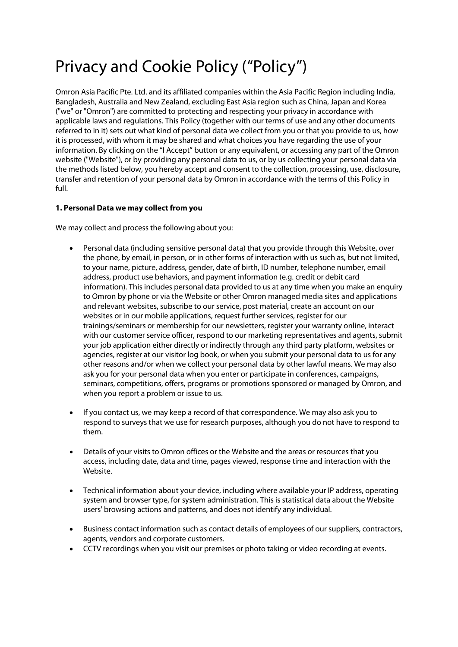# Privacy and Cookie Policy ("Policy")

Omron Asia Pacific Pte. Ltd. and its affiliated companies within the Asia Pacific Region including India, Bangladesh, Australia and New Zealand, excluding East Asia region such as China, Japan and Korea ("we" or "Omron") are committed to protecting and respecting your privacy in accordance with applicable laws and regulations. This Policy (together with our terms of use and any other documents referred to in it) sets out what kind of personal data we collect from you or that you provide to us, how it is processed, with whom it may be shared and what choices you have regarding the use of your information. By clicking on the "I Accept" button or any equivalent, or accessing any part of the Omron website ("Website"), or by providing any personal data to us, or by us collecting your personal data via the methods listed below, you hereby accept and consent to the collection, processing, use, disclosure, transfer and retention of your personal data by Omron in accordance with the terms of this Policy in full.

# **1. Personal Data we may collect from you**

We may collect and process the following about you:

- Personal data (including sensitive personal data) that you provide through this Website, over the phone, by email, in person, or in other forms of interaction with us such as, but not limited, to your name, picture, address, gender, date of birth, ID number, telephone number, email address, product use behaviors, and payment information (e.g. credit or debit card information). This includes personal data provided to us at any time when you make an enquiry to Omron by phone or via the Website or other Omron managed media sites and applications and relevant websites, subscribe to our service, post material, create an account on our websites or in our mobile applications, request further services, register for our trainings/seminars or membership for our newsletters, register your warranty online, interact with our customer service officer, respond to our marketing representatives and agents, submit your job application either directly or indirectly through any third party platform, websites or agencies, register at our visitor log book, or when you submit your personal data to us for any other reasons and/or when we collect your personal data by other lawful means. We may also ask you for your personal data when you enter or participate in conferences, campaigns, seminars, competitions, offers, programs or promotions sponsored or managed by Omron, and when you report a problem or issue to us.
- If you contact us, we may keep a record of that correspondence. We may also ask you to respond to surveys that we use for research purposes, although you do not have to respond to them.
- Details of your visits to Omron offices or the Website and the areas or resources that you access, including date, data and time, pages viewed, response time and interaction with the Website.
- Technical information about your device, including where available your IP address, operating system and browser type, for system administration. This is statistical data about the Website users' browsing actions and patterns, and does not identify any individual.
- Business contact information such as contact details of employees of our suppliers, contractors, agents, vendors and corporate customers.
- CCTV recordings when you visit our premises or photo taking or video recording at events.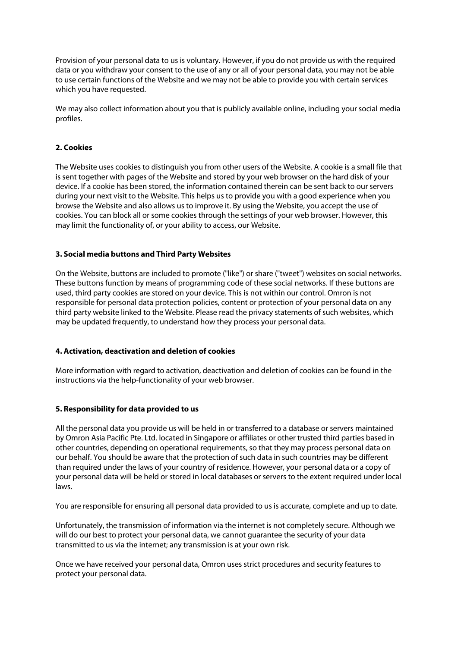Provision of your personal data to us is voluntary. However, if you do not provide us with the required data or you withdraw your consent to the use of any or all of your personal data, you may not be able to use certain functions of the Website and we may not be able to provide you with certain services which you have requested.

We may also collect information about you that is publicly available online, including your social media profiles.

## **2. Cookies**

The Website uses cookies to distinguish you from other users of the Website. A cookie is a small file that is sent together with pages of the Website and stored by your web browser on the hard disk of your device. If a cookie has been stored, the information contained therein can be sent back to our servers during your next visit to the Website. This helps us to provide you with a good experience when you browse the Website and also allows us to improve it. By using the Website, you accept the use of cookies. You can block all or some cookies through the settings of your web browser. However, this may limit the functionality of, or your ability to access, our Website.

## **3. Social media buttons and Third Party Websites**

On the Website, buttons are included to promote ("like") or share ("tweet") websites on social networks. These buttons function by means of programming code of these social networks. If these buttons are used, third party cookies are stored on your device. This is not within our control. Omron is not responsible for personal data protection policies, content or protection of your personal data on any third party website linked to the Website. Please read the privacy statements of such websites, which may be updated frequently, to understand how they process your personal data.

## **4. Activation, deactivation and deletion of cookies**

More information with regard to activation, deactivation and deletion of cookies can be found in the instructions via the help-functionality of your web browser.

## **5. Responsibility for data provided to us**

All the personal data you provide us will be held in or transferred to a database or servers maintained by Omron Asia Pacific Pte. Ltd. located in Singapore or affiliates or other trusted third parties based in other countries, depending on operational requirements, so that they may process personal data on our behalf. You should be aware that the protection of such data in such countries may be different than required under the laws of your country of residence. However, your personal data or a copy of your personal data will be held or stored in local databases or servers to the extent required under local laws.

You are responsible for ensuring all personal data provided to us is accurate, complete and up to date.

Unfortunately, the transmission of information via the internet is not completely secure. Although we will do our best to protect your personal data, we cannot guarantee the security of your data transmitted to us via the internet; any transmission is at your own risk.

Once we have received your personal data, Omron uses strict procedures and security features to protect your personal data.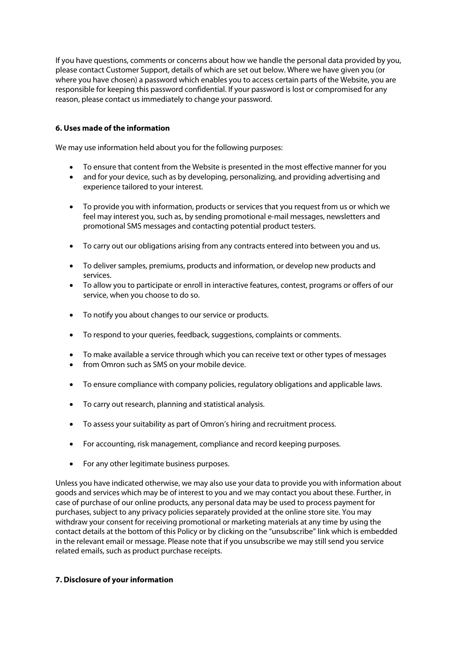If you have questions, comments or concerns about how we handle the personal data provided by you, please contact Customer Support, details of which are set out below. Where we have given you (or where you have chosen) a password which enables you to access certain parts of the Website, you are responsible for keeping this password confidential. If your password is lost or compromised for any reason, please contact us immediately to change your password.

## **6. Uses made of the information**

We may use information held about you for the following purposes:

- To ensure that content from the Website is presented in the most effective manner for you
- and for your device, such as by developing, personalizing, and providing advertising and experience tailored to your interest.
- To provide you with information, products or services that you request from us or which we feel may interest you, such as, by sending promotional e-mail messages, newsletters and promotional SMS messages and contacting potential product testers.
- To carry out our obligations arising from any contracts entered into between you and us.
- To deliver samples, premiums, products and information, or develop new products and services.
- To allow you to participate or enroll in interactive features, contest, programs or offers of our service, when you choose to do so.
- To notify you about changes to our service or products.
- To respond to your queries, feedback, suggestions, complaints or comments.
- To make available a service through which you can receive text or other types of messages
- from Omron such as SMS on your mobile device.
- To ensure compliance with company policies, regulatory obligations and applicable laws.
- To carry out research, planning and statistical analysis.
- To assess your suitability as part of Omron's hiring and recruitment process.
- For accounting, risk management, compliance and record keeping purposes.
- For any other legitimate business purposes.

Unless you have indicated otherwise, we may also use your data to provide you with information about goods and services which may be of interest to you and we may contact you about these. Further, in case of purchase of our online products, any personal data may be used to process payment for purchases, subject to any privacy policies separately provided at the online store site. You may withdraw your consent for receiving promotional or marketing materials at any time by using the contact details at the bottom of this Policy or by clicking on the "unsubscribe" link which is embedded in the relevant email or message. Please note that if you unsubscribe we may still send you service related emails, such as product purchase receipts.

## **7. Disclosure of your information**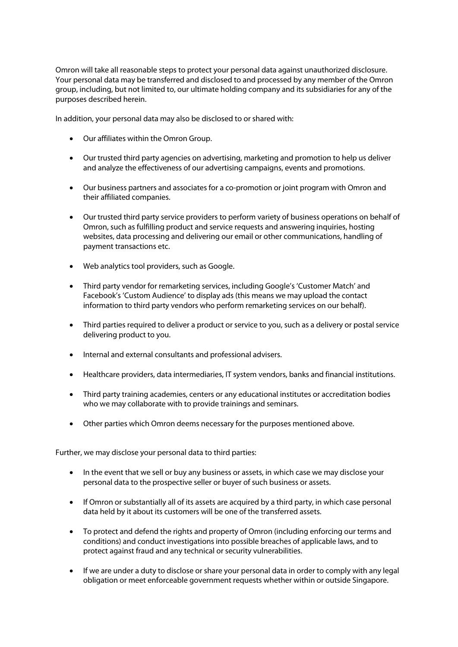Omron will take all reasonable steps to protect your personal data against unauthorized disclosure. Your personal data may be transferred and disclosed to and processed by any member of the Omron group, including, but not limited to, our ultimate holding company and its subsidiaries for any of the purposes described herein.

In addition, your personal data may also be disclosed to or shared with:

- Our affiliates within the Omron Group.
- Our trusted third party agencies on advertising, marketing and promotion to help us deliver and analyze the effectiveness of our advertising campaigns, events and promotions.
- Our business partners and associates for a co-promotion or joint program with Omron and their affiliated companies.
- Our trusted third party service providers to perform variety of business operations on behalf of Omron, such as fulfilling product and service requests and answering inquiries, hosting websites, data processing and delivering our email or other communications, handling of payment transactions etc.
- Web analytics tool providers, such as Google.
- Third party vendor for remarketing services, including Google's 'Customer Match' and Facebook's 'Custom Audience' to display ads (this means we may upload the contact information to third party vendors who perform remarketing services on our behalf).
- Third parties required to deliver a product or service to you, such as a delivery or postal service delivering product to you.
- Internal and external consultants and professional advisers.
- Healthcare providers, data intermediaries, IT system vendors, banks and financial institutions.
- Third party training academies, centers or any educational institutes or accreditation bodies who we may collaborate with to provide trainings and seminars.
- Other parties which Omron deems necessary for the purposes mentioned above.

Further, we may disclose your personal data to third parties:

- In the event that we sell or buy any business or assets, in which case we may disclose your personal data to the prospective seller or buyer of such business or assets.
- If Omron or substantially all of its assets are acquired by a third party, in which case personal data held by it about its customers will be one of the transferred assets.
- To protect and defend the rights and property of Omron (including enforcing our terms and conditions) and conduct investigations into possible breaches of applicable laws, and to protect against fraud and any technical or security vulnerabilities.
- If we are under a duty to disclose or share your personal data in order to comply with any legal obligation or meet enforceable government requests whether within or outside Singapore.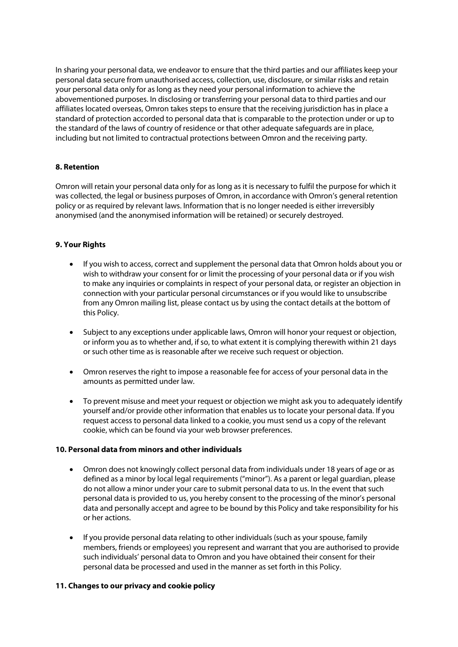In sharing your personal data, we endeavor to ensure that the third parties and our affiliates keep your personal data secure from unauthorised access, collection, use, disclosure, or similar risks and retain your personal data only for as long as they need your personal information to achieve the abovementioned purposes. In disclosing or transferring your personal data to third parties and our affiliates located overseas, Omron takes steps to ensure that the receiving jurisdiction has in place a standard of protection accorded to personal data that is comparable to the protection under or up to the standard of the laws of country of residence or that other adequate safeguards are in place, including but not limited to contractual protections between Omron and the receiving party.

# **8. Retention**

Omron will retain your personal data only for as long as it is necessary to fulfil the purpose for which it was collected, the legal or business purposes of Omron, in accordance with Omron's general retention policy or as required by relevant laws. Information that is no longer needed is either irreversibly anonymised (and the anonymised information will be retained) or securely destroyed.

## **9. Your Rights**

- If you wish to access, correct and supplement the personal data that Omron holds about you or wish to withdraw your consent for or limit the processing of your personal data or if you wish to make any inquiries or complaints in respect of your personal data, or register an objection in connection with your particular personal circumstances or if you would like to unsubscribe from any Omron mailing list, please contact us by using the contact details at the bottom of this Policy.
- Subject to any exceptions under applicable laws, Omron will honor your request or objection, or inform you as to whether and, if so, to what extent it is complying therewith within 21 days or such other time as is reasonable after we receive such request or objection.
- Omron reserves the right to impose a reasonable fee for access of your personal data in the amounts as permitted under law.
- To prevent misuse and meet your request or objection we might ask you to adequately identify yourself and/or provide other information that enables us to locate your personal data. If you request access to personal data linked to a cookie, you must send us a copy of the relevant cookie, which can be found via your web browser preferences.

## **10. Personal data from minors and other individuals**

- Omron does not knowingly collect personal data from individuals under 18 years of age or as defined as a minor by local legal requirements ("minor"). As a parent or legal guardian, please do not allow a minor under your care to submit personal data to us. In the event that such personal data is provided to us, you hereby consent to the processing of the minor's personal data and personally accept and agree to be bound by this Policy and take responsibility for his or her actions.
- If you provide personal data relating to other individuals (such as your spouse, family members, friends or employees) you represent and warrant that you are authorised to provide such individuals' personal data to Omron and you have obtained their consent for their personal data be processed and used in the manner as set forth in this Policy.

## **11. Changes to our privacy and cookie policy**